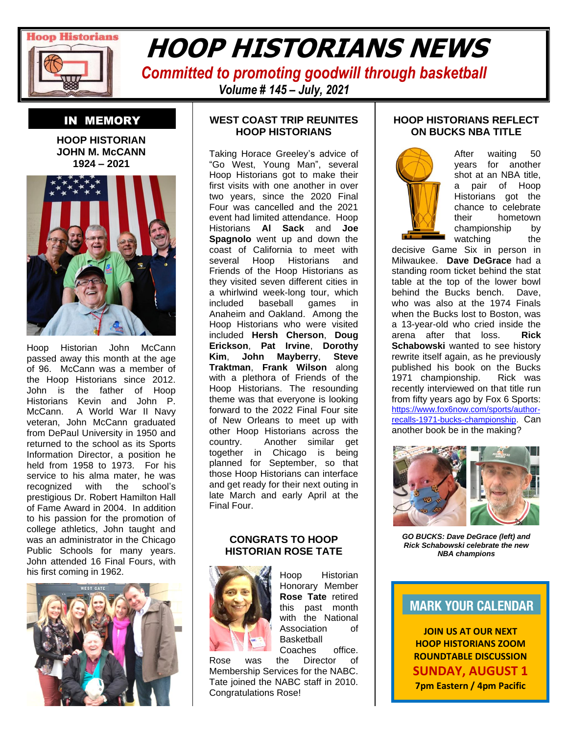

# **READING MISTORIANS NEWS**

 *Committed to promoting goodwill through basketball*

*Volume # 145 – July, 2021*

# IN MEMORY

**HOOP HISTORIAN JOHN M. McCANN 1924 – 2021**



Hoop Historian John McCann passed away this month at the age of 96. McCann was a member of the Hoop Historians since 2012. John is the father of Hoop Historians Kevin and John P. McCann. A World War II Navy veteran, John McCann graduated from DePaul University in 1950 and returned to the school as its Sports Information Director, a position he held from 1958 to 1973. For his service to his alma mater, he was recognized with the school's prestigious Dr. Robert Hamilton Hall of Fame Award in 2004. In addition to his passion for the promotion of college athletics, John taught and was an administrator in the Chicago Public Schools for many years. John attended 16 Final Fours, with his first coming in 1962.



#### **WEST COAST TRIP REUNITES HOOP HISTORIANS**

Taking Horace Greeley's advice of "Go West, Young Man", several Hoop Historians got to make their first visits with one another in over two years, since the 2020 Final Four was cancelled and the 2021 event had limited attendance. Hoop Historians **Al Sack** and **Joe Spagnolo** went up and down the coast of California to meet with several Hoop Historians and Friends of the Hoop Historians as they visited seven different cities in a whirlwind week-long tour, which included baseball games in Anaheim and Oakland. Among the Hoop Historians who were visited included **Hersh Cherson**, **Doug Erickson**, **Pat Irvine**, **Dorothy Kim**, **John Mayberry**, **Steve Traktman**, **Frank Wilson** along with a plethora of Friends of the Hoop Historians. The resounding theme was that everyone is looking forward to the 2022 Final Four site of New Orleans to meet up with other Hoop Historians across the country. Another similar get together in Chicago is being planned for September, so that those Hoop Historians can interface and get ready for their next outing in late March and early April at the Final Four.

#### **CONGRATS TO HOOP HISTORIAN ROSE TATE**



Hoop Historian Honorary Member **Rose Tate** retired this past month with the National Association of **Basketball** Coaches office.

Rose was the Director of Membership Services for the NABC. Tate joined the NABC staff in 2010. Congratulations Rose!

#### **HOOP HISTORIANS REFLECT ON BUCKS NBA TITLE**



After waiting 50 years for another shot at an NBA title, a pair of Hoop Historians got the chance to celebrate their hometown championship by watching the

decisive Game Six in person in Milwaukee. **Dave DeGrace** had a standing room ticket behind the stat table at the top of the lower bowl behind the Bucks bench. Dave, who was also at the 1974 Finals when the Bucks lost to Boston, was a 13-year-old who cried inside the arena after that loss. **Rick Schabowski** wanted to see history rewrite itself again, as he previously published his book on the Bucks 1971 championship. Rick was recently interviewed on that title run from fifty years ago by Fox 6 Sports: [https://www.fox6now.com/sports/author](https://www.fox6now.com/sports/author-recalls-1971-bucks-championship)[recalls-1971-bucks-championship.](https://www.fox6now.com/sports/author-recalls-1971-bucks-championship) Can another book be in the making?



*GO BUCKS: Dave DeGrace (left) and Rick Schabowski celebrate the new NBA champions*

# **MARK YOUR CALENDAR**

**JOIN US AT OUR NEXT HOOP HISTORIANS ZOOM ROUNDTABLE DISCUSSION SUNDAY, AUGUST 1 7pm Eastern / 4pm Pacific**